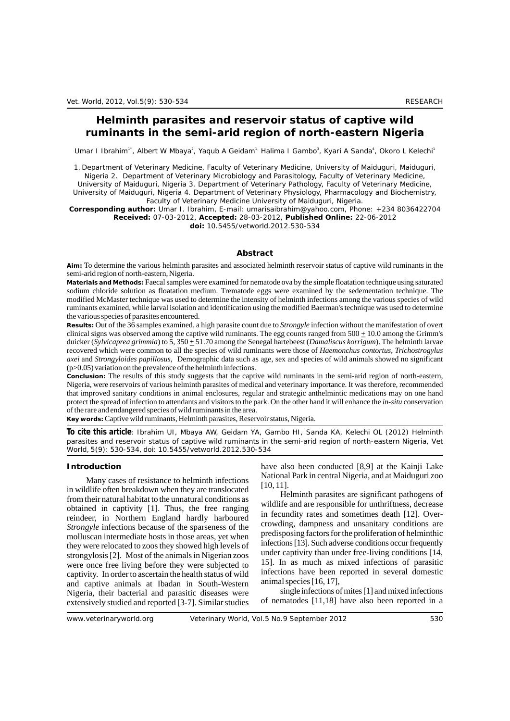# **Helminth parasites and reservoir status of captive wild ruminants in the semi-arid region of north-eastern Nigeria**

Umar I Ibrahim<sup>1</sup>, Albert W Mbaya<sup>2</sup>, Yaqub A Geidam<sup>1,</sup> Halima I Gambo<sup>3</sup>, Kyari A Sanda<sup>4</sup>, Okoro L Kelechi<sup>1</sup>

1. Department of Veterinary Medicine, Faculty of Veterinary Medicine, University of Maiduguri, Maiduguri, Nigeria 2. Department of Veterinary Microbiology and Parasitology, Faculty of Veterinary Medicine,

University of Maiduguri, Nigeria 3. Department of Veterinary Pathology, Faculty of Veterinary Medicine, University of Maiduguri, Nigeria 4. Department of Veterinary Physiology, Pharmacology and Biochemistry,

Faculty of Veterinary Medicine University of Maiduguri, Nigeria.

**Corresponding author:** Umar I. Ibrahim, E-mail: umarisaibrahim@yahoo.com, Phone: +234 8036422704 **Received:** 07-03-2012, **Accepted:** 28-03-2012, **Published Online:** 22-06-2012

**doi:** 10.5455/vetworld.2012.530-534

### **Abstract**

**Aim:** To determine the various helminth parasites and associated helminth reservoir status of captive wild ruminants in the semi-arid region of north-eastern, Nigeria.

**Materials and Methods:** Faecal samples were examined for nematode ova by the simple floatation technique using saturated sodium chloride solution as floatation medium. Trematode eggs were examined by the sedementation technique. The modified McMaster technique was used to determine the intensity of helminth infections among the various species of wild ruminants examined, while larval isolation and identification using the modified Baerman's technique was used to determine the various species of parasites encountered.

**Results:** Out of the 36 samples examined, a high parasite count due to *Strongyle* infection without the manifestation of overt clinical signs was observed among the captive wild ruminants. The egg counts ranged from  $500 + 10.0$  among the Grimm's duicker (*Sylvicaprea grimmia*) to 5, 350  $\pm$  51.70 among the Senegal hartebeest (*Damaliscus korrigum*). The helminth larvae recovered which were common to all the species of wild ruminants were those of *Haemonchus contortus*, *Trichostrogylus axei* and *Strongyloides papillosus,* Demographic data such as age, sex and species of wild animals showed no significant (p>0.05) variation on the prevalence of the helminth infections.

**Conclusion:** The results of this study suggests that the captive wild ruminants in the semi-arid region of north-eastern, Nigeria, were reservoirs of various helminth parasites of medical and veterinary importance. It was therefore, recommended that improved sanitary conditions in animal enclosures, regular and strategic anthelmintic medications may on one hand protect the spread of infection to attendants and visitors to the park. On the other hand it will enhance the *in-situ* conservation of the rare and endangered species of wild ruminants in the area.

**Key words:**Captive wild ruminants, Helminth parasites, Reservoir status, Nigeria.

**To cite this article**: Ibrahim UI, Mbaya AW, Geidam YA, Gambo HI, Sanda KA, Kelechi OL (2012) Helminth parasites and reservoir status of captive wild ruminants in the semi-arid region of north-eastern Nigeria, *Vet World*, 5(9): 530-534, doi: 10.5455/vetworld.2012.530-534

Many cases of resistance to helminth infections<br>in wildlife often breakdown when they are translocated<br>from their natural habitat to the unnatural conditions as<br>obtained in captivity [1]. Thus, the free ranging<br>reindeer in Freindeer, in Northern England hardly harboured in fecundity rates and sometimes death [12]. Over-<br>*Strongyle* infections because of the sparseness of the sparseness of the predisposing factors for the proliferation of he molluscan intermediate hosts in those areas, yet when<br>the predisposing factors for the profitention of helminthic<br>infections [13]. Such adverse conditions occur frequently they were relocated to zoos they showed high levels of infections [13]. Such adverse conditions occur frequently they strong under the shimals in Nigerian zoos under captivity than under free-living conditions [14]. strongylosis [2]. Most of the animals in Nigerian zoos under captivity than under free-living conditions [14, strong conditions in Nigerian zoos in the animals in Nigerian zoos in the animals in Nigerian zoos in the animal were once free living before they were subjected to <br>continuous of parasitic once free living began the begath status of wild infections have been reported in several domestic captivity. In order to ascertain the health status of wild<br>and intections have been reported in several domestic captive animals at the<br>dan in South-Western animal species [16, 17]. and captive animals at Ibadan in South-Western animal species [16, 17],<br>Nigeria their bacterial and parasitic diseases were single infections of mites [1] and mixed infections Nigeria, their bacterial and parasitic diseases were single infections of mites [1] and mixed infections extensively studied and reported [3-7]. Similar studies of nematodes [11,18] have also been reported in a extensively studied and reported [3-7]. Similar studies

**Introduction** have also been conducted [8,9] at the Kainji Lake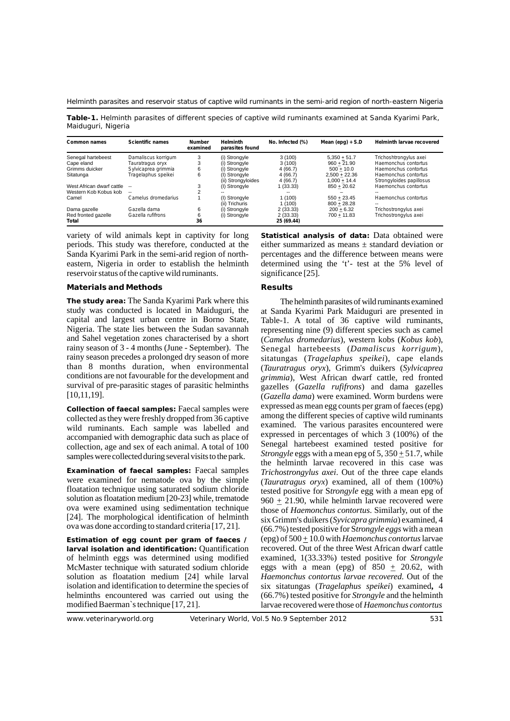Helminth parasites and reservoir status of captive wild ruminants in the semi-arid region of north-eastern Nigeria

**Table-1.** Helminth parasites of different species of captive wild ruminants examined at Sanda Kyarimi Park, Maiduguri, Nigeria

| Common names                 | <b>Scientific names</b> | <b>Number</b><br>examined | <b>Helminth</b><br>parasites found  | No. Infected (%)       | Mean (epg) $+$ S.D                | <b>Helminth larvae recovered</b>                 |
|------------------------------|-------------------------|---------------------------|-------------------------------------|------------------------|-----------------------------------|--------------------------------------------------|
| Senegal hartebeest           | Damaliscus korrigum     | 3                         | (i) Strongyle                       | 3(100)                 | $5.350 + 51.7$                    | Trichoshtrongylus axei                           |
| Cape eland                   | Tauratragus oryx        | 3                         | (i) Strongyle                       | 3(100)                 | $960 + 21.90$                     | Haemonchus contortus                             |
| Grimms duicker               | Sylvicaprea grimmia     | 6                         | (i) Strongyle                       | 4(66.7)                | $500 + 10.0$                      | Haemonchus contortus                             |
| Sitatunga                    | Tragelaphus speikei     | 6                         | (I) Strongyle<br>(ii) Strongyloides | 4(66.7)<br>4(66.7)     | $2.500 + 22.36$<br>$1.000 + 14.4$ | Haemonchus contortus<br>Strongyloides papillosus |
| West African dwarf cattle    | $- -$                   | 3                         | (I) Strongyle                       | 1(33.33)               | $850 + 20.62$                     | Haemonchus contortus                             |
| Western Kob Kobus kob        | $- -$                   |                           |                                     |                        |                                   |                                                  |
| Camel                        | Camelus dromedarius     |                           | (I) Strongyle<br>(ii) Trichuris     | 1(100)<br>1(100)       | $550 + 23.45$<br>$800 + 28.28$    | Haemonchus contortus<br>--                       |
| Dama gazelle                 | Gazella dama            | 6                         | (i) Strongyle                       | 2(33.33)               | $200 + 6.32$                      | Trichostrongylus axei                            |
| Red fronted gazelle<br>Total | Gazella rufifrons       | 6<br>36                   | (i) Strongyle                       | 2(33.33)<br>25 (69.44) | $700 + 11.83$                     | Trichostrongylus axei                            |

periods. This study was therefore, conducted at the either summarized as means ± standard deviation or eastern, Nigeria in order to establish the helminth determined using the 't'- test at the 5% level of reservoir status of the captive wild ruminants. significance [25].

## Materials and Methods **Results** Results

**The study area:** The Sanda Kyarimi Park where this The helminth parasites ofwild ruminants examined study was conducted is located in Maiduguri, the at Sanda Kyarimi Park Maiduguri are presented in capital and largest urban centre in Borno State, Table-1. A total of 36 captive wild ruminants, Nigeria. The state lies between the Sudan savannah representing nine (9) different species such as camel Nigeria. The state lies between the Sudan savannah representing nine (9) different species such as camel<br>and Sahel vegetation zones characterised by a short (Camelus dromedarius), western kobs (Kobus kob). and Sahel vegetation zones characterised by a short (*Camelus dromedarius*), western kobs (*Kobus kob*), rainy season of 3 - 4 months (June - September). The Senegal hartebeests (*Damaliscus korrigum*). rainy season of 3 - 4 months (June - September). The Senegal hartebeests (*Damaliscus korrigum*), rainy season precedes a prolonged dry season of more sitatungas (*Tragelaphus speikei*), cape elands conditions are not favourable for the development and *grimmia*), West African dwarf cattle, red fronted

collected as they were freshly dropped from 36 captive among the different species of captive wild ruminants<br>wild ruminants. Each sample was labelled and examined. The various parasites encountered were wild ruminants. Each sample was labelled and examined. The various parasites encountered were run accompanied with demographic data such as place of expressed in percentages of which 3 (100%) of the accompanied with demographic data such as place of senegal hartebeest examined tested positive for collection, age and sex of each animal. A total of 100 Senegal hartebeest examined tested positive for samples were collected during several visits to the park. Strongyle eggs with a mean epg of  $5,350 \pm 51.7$ , while

Examination of faecal samples: Faecal samples *Trichostrongylus axei*. Out of the three cape elands were examined for nematode ova by the simple *(Tauratraous oryx)* examined all of them (100%) were examined for nematode ova by the simple (*Tauratragus oryx*) examined, all of them (100%) floatation technique using saturated sodium chloride tested positive for *Strongyle* egg with a mean eng of floatation technique using saturated sodium chloride tested positive for S*trongyle* egg with a mean epg of solution as floatation medium [20-23] while, trematode  $960 + 21.90$  while helminth larvae recovered were solution as floatation medium [20-23] while, trematode  $960 \pm 21.90$ , while helminth larvae recovered were<br>ova were examined using sedimentation technique those of Haemonchus contortus. Similarly out of the ova were examined using sedimentation technique those of *Haemonchus contortus*. Similarly, out of the [24]. The morphological identification of helminth six Grimm's duikers (Syvicanza grimmia) examined A [24]. The morphological identification of helminth six Grimm's duikers (*Syvicapra grimmia*) examined, 4 ova was done according to standard criteria [17, 21]. (66.7%) tested positive for *Strongyle eggs* with a mean

larval isolation and identification: Quantification of helminth eggs was determined using modified examined, 1(33.33%) tested positive for *Strongyle* McMaster technique with saturated sodium chloride eggs with a mean (epg) of  $850 \pm 20.62$ , with solution as floatation medium [24] while larval *Haemonchus contortus larvae recovered*. Out of the isolation and identification to determine the species of six sitatungas (*Tragelaphus speikei*) examined, 4 helminths encountered was carried out using the (66.7%) tested positive for *Strongyle* and the helminth modified Baerman`s technique [17, 21]. larvae recovered were those of *Haemonchus contortus* 

variety of wild animals kept in captivity for long **Statistical analysis of data:** Data obtained were Sanda Kyarimi Park in the semi-arid region of north- percentages and the difference between means were

than 8 months duration, when environmental (*Tauratragus oryx*), Grimm's duikers (*Sylvicaprea* survival of pre-parasitic stages of parasitic helminths gazelles (*Gazella rufifrons*) and dama gazelles [10,11,19]. (*Gazella dama*) were examined. Worm burdens were Collection of faecal samples: Faecal samples were expressed as mean egg counts per gram of faeces (epg) collected as they were free by dropped from 36 centive among the different species of captive wild ruminants the helminth larvae recovered in this case was (66.7%) tested positive for Strongyle eggs with a mean Estimation of egg count per gram of faeces / (epg) of  $500 \pm 10.0$  with *Haemonchus contortus* larvae<br>larval isolation and identification: Quantification recovered. Out of the three West African dwarf cattle Haemonchus contortus larvae recovered. Out of the (66.7%) tested positive for *Strongyle* and the helminth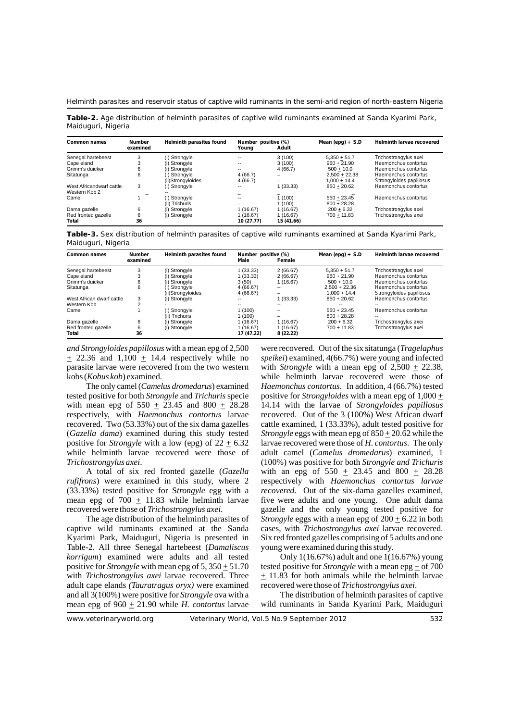Helminth parasites and reservoir status of captive wild ruminants in the semi-arid region of north-eastern Nigeria

**Table-2.** Age distribution of helminth parasites of captive wild ruminants examined at Sanda Kyarimi Park, Maiduguri, Nigeria

| Common names                              | <b>Number</b><br>examined | Helminth parasites found           | Number positive (%)<br>Youna | Adult                  | Mean (epg) $+$ S.D                | <b>Helminth larvae recovered</b>                 |
|-------------------------------------------|---------------------------|------------------------------------|------------------------------|------------------------|-----------------------------------|--------------------------------------------------|
| Senegal hartebeest                        | 3                         | (I) Strongyle                      | $\overline{\phantom{a}}$     | 3(100)                 | $5.350 + 51.7$                    | Trichostrongylus axei                            |
| Cape eland                                | 3                         | (i) Strongyle                      | $\overline{\phantom{a}}$     | 3(100)                 | $960 + 21.90$                     | Haemonchus contortus                             |
| Grimm's duicker                           | 6                         | (i) Stronavle                      | $\overline{\phantom{a}}$     | 4(66.7)                | $500 + 10.0$                      | Haemonchus contortus                             |
| Sitatunga                                 | 6                         | (I) Strongyle<br>(ii)Strongyloides | 4(66.7)<br>4(66.7)           | -                      | $2.500 + 22.38$<br>$1.000 + 14.4$ | Haemonchus contortus<br>Strongyloides papillosus |
| West Africandwarf cattle<br>Western Kob 2 | 3                         | (I) Strongyle                      | --                           | 1(33.33)               | $850 + 20.62$                     | Haemonchus contortus                             |
| Camel                                     |                           | (I) Strongyle<br>(ii) Trichuris    | $\overline{\phantom{a}}$     | 1(100)<br>1(100)       | $550 + 23.45$<br>$800 + 28.28$    | Haemonchus contortus                             |
| Dama gazelle                              | 6                         | (i) Strongyle                      | 1(16.67)                     | 1(16.67)               | $200 + 6.32$                      | Trichostrongylus axei                            |
| Red fronted gazelle<br>Total              | 6<br>36                   | (i) Strongyle                      | 1(16.67)<br>10 (27.77)       | 1(16.67)<br>15 (41.66) | $700 + 11.83$                     | Trichostrongylus axei                            |

**Table-3.** Sex distribution of helminth parasites of captive wild ruminants examined at Sanda Kyarimi Park, Maiduguri, Nigeria

| <b>Common names</b>          | <b>Number</b><br>examined | Helminth parasites found           | Number positive (%)<br>Male | Female               | Mean (epg) $+$ S.D                | Helminth larvae recovered                        |
|------------------------------|---------------------------|------------------------------------|-----------------------------|----------------------|-----------------------------------|--------------------------------------------------|
| Senegal hartebeest           | 3                         | (i) Strongyle                      | 1 (33.33)                   | 2(66.67)             | $5.350 + 51.7$                    | Trichostrongylus axei                            |
| Cape eland                   | 3                         | (i) Strongyle                      | 1 (33.33)                   | 2(66.67)             | $960 + 21.90$                     | Haemonchus contortus                             |
| Grimm's duicker              | 6                         | (i) Strongyle                      | 3(50)                       | (16.67)              | $500 + 10.0$                      | Haemonchus contortus                             |
| Sitatunga                    | 6                         | (I) Strongyle<br>(ii)Strongyloides | 4(66.67)<br>4(66.67)        | --                   | $2.500 + 22.36$<br>$1.000 + 14.4$ | Haemonchus contortus<br>Strongyloides papillosus |
| West African dwarf cattle    | 3                         | (i) Strongyle                      | --                          | 1(33.33)             | $850 + 20.62$                     | Haemonchus contortus                             |
| Western Kob                  | $\sim$                    |                                    |                             |                      |                                   |                                                  |
| Camel                        |                           | (I) Strongyle<br>(ii) Trichuris    | 1 (100)<br>1 (100)          |                      | $550 + 23.45$<br>$800 + 28.28$    | Haemonchus contortus                             |
| Dama gazelle                 | 6                         | (i) Strongyle                      | 1 (16.67)                   | 1(16.67)             | $200 + 6.32$                      | Trichostrongylus axei                            |
| Red fronted gazelle<br>Total | 6<br>36                   | (i) Strongyle                      | 1 (16.67)<br>17 (47.22)     | (16.67)<br>8 (22.22) | $700 + 11.83$                     | Trichostrongylus axei                            |

*and Strongyloides papillosus* with a mean epg of 2,500 were recovered. Out of the six sitatunga (*Tragelaphus*  + 22.36 and 1,100 + 14.4 respectively while no *speikei*) examined, 4(66.7%) were young and infected parasite larvae were recovered from the two western with *Strongyle* with a mean epg of  $2{,}500 \pm 22.38$ , kobs (*Kobus kob*) examined. while helminth larvae recovered were those of

tested positive for both *Strongyle* and *Trichuris* specie positive for *Strongyloides* with a mean epg of 1,000 + with mean epg of  $550 \pm 23.45$  and  $800 \pm 28.28$  14.14 with the larvae of *Strongyloides papillosus* respectively, with *Haemonchus contortus* larvae recovered. Out of the 3 (100%) West African dwarf recovered. Two (53.33%) out of the six dama gazelles cattle examined, 1 (33.33%), adult tested positive for (*Gazella dama*) examined during this study tested *Strongyle* eggs with mean epg of  $850 \pm 20.62$  while the positive for *Strongyle* with a low (epg) of  $22 \pm 6.32$  larvae recovered were those of *H. contortus*. The only

A total of six red fronted gazelle (*Gazella* with an epg of  $550 \pm 23.45$  and  $800 \pm 28.28$  *rufifrons*) were examined in this study, where 2 respectively with *Haemonchus contortus larvae* (33.33%) tested positive for S*trongyle* egg with a *recovered*. Out of the six-dama gazelles examined, mean epg of  $700 \pm 11.83$  while helminth larvae five were adults and one young. One adult dama recovered were those of *Trichostrongylus axei*. gazelle and the only young tested positive for

captive wild ruminants examined at the Sanda cases, with *Trichostrongylus axei* larvae recovered. Kyarimi Park, Maiduguri, Nigeria is presented in Six red fronted gazelles comprising of 5 adults and one Table-2. All three Senegal hartebeest (*Damaliscus* young were examined during this study. *korrigum*) examined were adults and all tested Only 1(16.67%) adult and one 1(16.67%) young positive for *Strongyle* with mean epg of 5,  $350 \pm 51.70$  tested positive for *Strongyle* with a mean epg  $\pm$  of 700 with *Trichostrongylus axei* larvae recovered. Three  $\pm$  11.83 for both animals while the helminth larvae adult cape elands *(Tauratragus oryx)* were examined recovered were those of *Trichostrongylus axei*. and all 3(100%) were positive for *Strongyle* ova with a The distribution of helminth parasites of captive mean epg of 960 + 21.90 while *H. contortus* larvae wild ruminants in Sanda Kyarimi Park, Maiduguri

The only camel (*Camelus dromedarus*) examined *Haemonchus contortus*. In addition, 4 (66.7%) tested while helminth larvae recovered were those of adult camel (*Camelus dromedarus*) examined, 1 Trichostrongylus axei. (100%) was positive for both *Strongyle and Trichuris Trichastrongylus axei.* (100%) was positive for both *Strongyle and Trichuris* A total of six red fronted gazelle (*Gazella* with an epg of 550  $\pm$  23.45 and 800  $\pm$  28.28 *respectively with Haemonchus contortus larvae* The age distribution of the helminth parasites of *Strongyle* eggs with a mean epg of 200 + 6.22 in both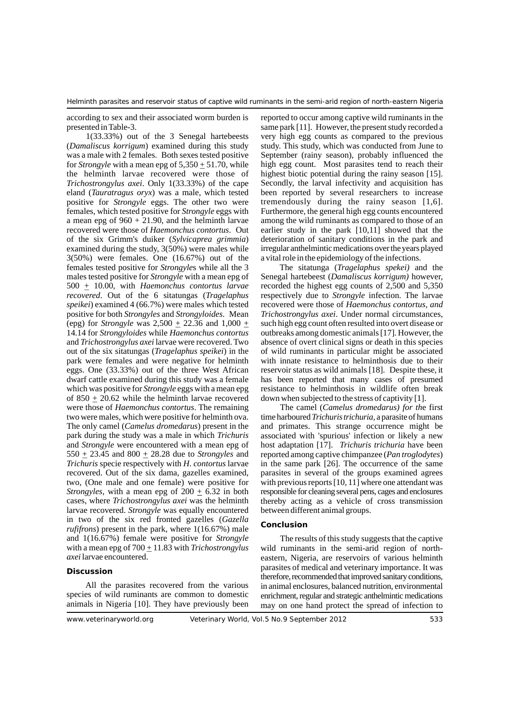(*Damaliscus korrigum*) examined during this study study. This study, which was conducted from June to was a male with 2 females. Both sexes tested positive September (rainy season), probably influenced the for *Strongyle* with a mean epg of  $5,350 \pm 51.70$ , while high egg count. Most parasites tend to reach their the helminth larvae recovered were those of highest biotic potential during the rainy season [15]. the helminth larvae recovered were those of *Trichostrongylus axei*. Only 1(33.33%) of the cape Secondly, the larval infectivity and acquisition has eland (*Tauratragus oryx*) was a male, which tested been reported by several researchers to increase positive for *Strongyle* eggs. The other two were tremendously during the rainy season [1,6].<br>females, which tested positive for *Strongyle* eggs with Furthermore, the general high egg counts encountered a mean epg of  $960 + 21.90$ , and the helminth larvae among the wild ruminants as compared to those of an recovered were those of *Haemonchus contortus*. Out earlier study in the park [10,11] showed that the of the six Grimm's duiker (*Sylvicaprea grimmia*) deterioration of sanitary conditions in the park and examined during the study, 3(50%) were males while irregular anthelmintic medications over the years played 3(50%) were females. One (16.67%) out of the a vital role in the epidemiology of the infections. females tested positive for *Strongyle*s while all the 3 The sitatunga (*Tragelaphus spekei)* and the males tested positive for *Strongyle* with a mean epg of  $500 \pm 10.00$ , with *Haemonchus contortus larvae* recorded the highest egg counts of 2,500 and 5,350 recovered. Out of the 6 sitatungas (*Tragelaphus* respectively due to *Strongyle* infection. The larvae *speikei*) examined 4 (66.7%) were males which tested recovered were those of *Haemonchus contortus, and*  positive for both *Strongyles* and *Strongyloides*. Mean *Trichostrongylus axei*. Under normal circumstances, (epg) for *Strongyle* was  $2,500 + 22.36$  and  $1,000 +$  such high egg count often resulted into overt disease or 14.14 for *Strongyloides* while *Haemonchus contortus* outbreaks among domestic animals [17]. However, the and *Trichostrongylus axei*larvae were recovered. Two absence of overt clinical signs or death in this species out of the six sitatungas (*Tragelaphus speikei*) in the of wild ruminants in particular might be associated eggs. One (33.33%) out of the three West African reservoir status as wild animals [18]. Despite these, it dwarf cattle examined during this study was a female has been reported that many cases of presumed which was positive for *Strongyle* eggs with a mean epg resistance to helminthosis in wildlife often break of 850  $\pm$  20.62 while the helminth larvae recovered down when subjected to the stress of captivity [1]. were those of *Haemonchus contortus*. The remaining The camel (*Camelus dromedarus*) for the first two were males, which were positive for helminth ova. time harboured*Trichuristrichuria,* a parasite of humans The only camel (*Camelus dromedarus*) present in the and primates. This strange occurrence might be park during the study was a male in which *Trichuris* associated with 'spurious' infection or likely a new and *Strongyle* were encountered with a mean epg of host adaptation [17]. *Trichuris trichuria* have been 550  $\pm$  23.45 and 800  $\pm$  28.28 due to *Strongyles* and reported among captive chimpanzee (*Pan troglodytes*) Trichuris specie respectively with *H. contortus* larvae in the same park [26]. The occurrence of the same recovered. Out of the six dama, gazelles examined, parasites in several of the groups examined agrees two, (One male and one female) were positive for with previous reports [10, 11] where one attendant was *Strongyles*, with a mean epg of  $200 \pm 6.32$  in both responsible for cleaning several pens, cages and enclosures cases, where *Trichostrongylus axei* was the helminth thereby acting as a vehicle of cross transmission larvae recovered. *Strongyle* was equally encountered between different animal groups. larvae recovered. *Strongyle* was equally encountered in two of the six red fronted gazelles (*Gazella rufifrons*) present in the park, where 1(16.67%) male Conclusion and  $1(16.67%)$  female were positive for *Strongyle* The results of this study suggests that the captive with a mean epg of  $700 \pm 11.83$  with *Trichostrongylus* wild ruminants in the semi-arid region of northwith a mean epg of  $700 \pm 11.83$  with *Trichostrongylus* wild ruminants in the semi-arid region of north-<br>*axei* larvae encountered. eastern. Nigeria, are reservoirs of various helminth

according to sex and their associated worm burden is reported to occur among captive wild ruminants in the presented in Table-3. same park [11]. However, the present study recorded a 1(33.33%) out of the 3 Senegal hartebeests very high egg counts as compared to the previous been reported by several researchers to increase Furthermore, the general high egg counts encountered

> *respectively due to <i>Strongyle* infection. The larvae with innate resistance to helminthosis due to their has been reported that many cases of presumed

> host adaptation [17]. *Trichuris trichuria* have been in the same park [26]. The occurrence of the same

eastern, Nigeria, are reservoirs of various helminth parasites of medical and veterinary importance. It was **Discussion**  therefore, recommended that improved sanitary conditions, All the parasites recovered from the various in animal enclosures, balanced nutrition, environmental species of wild ruminants are common to domestic enrichment, regular and strategic anthelmintic medications animals in Nigeria [10]. They have previously been may on one hand protect the spread of infection to